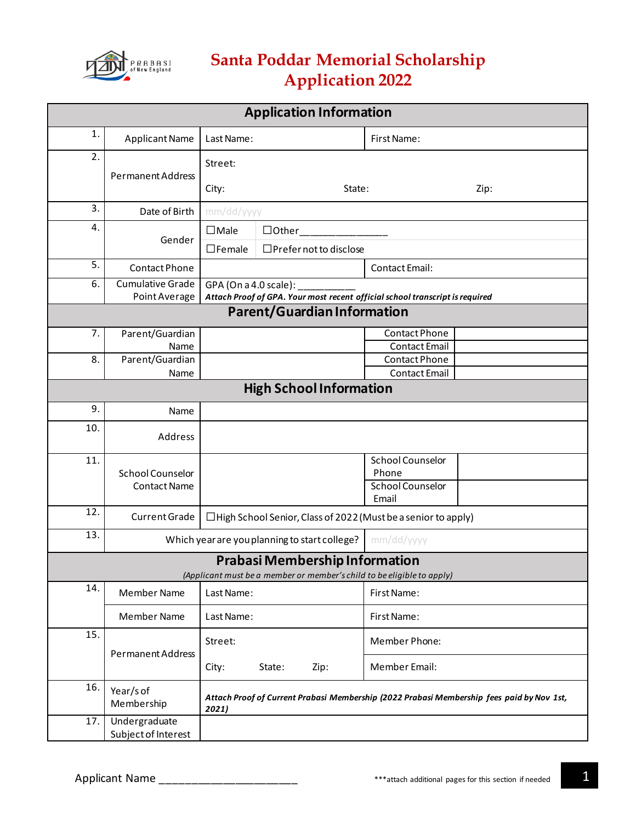

## **Santa Poddar Memorial Scholarship Application 2022**

| <b>Application Information</b>        |                                                             |                                                                                           |                                                                              |                                  |      |
|---------------------------------------|-------------------------------------------------------------|-------------------------------------------------------------------------------------------|------------------------------------------------------------------------------|----------------------------------|------|
| 1.                                    | <b>Applicant Name</b>                                       | Last Name:                                                                                |                                                                              | First Name:                      |      |
| 2.                                    | <b>Permanent Address</b>                                    | Street:                                                                                   |                                                                              |                                  |      |
|                                       |                                                             | City:                                                                                     | State:                                                                       |                                  | Zip: |
| 3.                                    | Date of Birth                                               | mm/dd/yyyy                                                                                |                                                                              |                                  |      |
| 4.                                    | Gender                                                      | • Male                                                                                    | • Other                                                                      |                                  |      |
|                                       |                                                             | • Female                                                                                  | • Prefer not to disclose                                                     |                                  |      |
| 5.                                    | Contact Phone                                               |                                                                                           |                                                                              | <b>Contact Email:</b>            |      |
| 6.                                    | <b>Cumulative Grade</b><br>Point Average                    | GPA (On a 4.0 scale):                                                                     | Attach Proof of GPA. Your most recent official school transcript is required |                                  |      |
|                                       |                                                             |                                                                                           | <b>Parent/Guardian Information</b>                                           |                                  |      |
| 7.                                    | Parent/Guardian                                             |                                                                                           |                                                                              | Contact Phone                    |      |
|                                       | Name                                                        |                                                                                           |                                                                              | <b>Contact Email</b>             |      |
| 8.                                    | Parent/Guardian                                             |                                                                                           |                                                                              | Contact Phone                    |      |
|                                       | Name                                                        |                                                                                           |                                                                              | <b>Contact Email</b>             |      |
|                                       | <b>High School Information</b>                              |                                                                                           |                                                                              |                                  |      |
| 9.                                    | Name                                                        |                                                                                           |                                                                              |                                  |      |
| 10.                                   | Address                                                     |                                                                                           |                                                                              |                                  |      |
| 11.                                   |                                                             |                                                                                           |                                                                              | <b>School Counselor</b>          |      |
|                                       | <b>School Counselor</b>                                     |                                                                                           |                                                                              | Phone<br><b>School Counselor</b> |      |
|                                       | <b>Contact Name</b>                                         |                                                                                           |                                                                              | Email                            |      |
| 12.                                   | <b>Current Grade</b>                                        | • High School Senior, Class of 2022 (Must be a senior to apply)                           |                                                                              |                                  |      |
| 13.                                   | Which year are you planning to start college?<br>mm/dd/yyyy |                                                                                           |                                                                              |                                  |      |
| <b>Prabasi Membership Information</b> |                                                             |                                                                                           |                                                                              |                                  |      |
| 14.                                   |                                                             |                                                                                           | (Applicant must be a member or member's child to be eligible to apply)       |                                  |      |
|                                       | Member Name                                                 | Last Name:                                                                                |                                                                              | First Name:                      |      |
|                                       | Member Name                                                 | Last Name:                                                                                |                                                                              | First Name:                      |      |
| 15.                                   | Permanent Address                                           | Street:                                                                                   |                                                                              | Member Phone:                    |      |
|                                       |                                                             | City:                                                                                     | State:<br>Zip:                                                               | Member Email:                    |      |
| 16.                                   | Year/s of                                                   | Attach Proof of Current Prabasi Membership (2022 Prabasi Membership fees paid by Nov 1st, |                                                                              |                                  |      |
|                                       | Membership                                                  | 2021)                                                                                     |                                                                              |                                  |      |
| 17.                                   | Undergraduate<br>Subject of Interest                        |                                                                                           |                                                                              |                                  |      |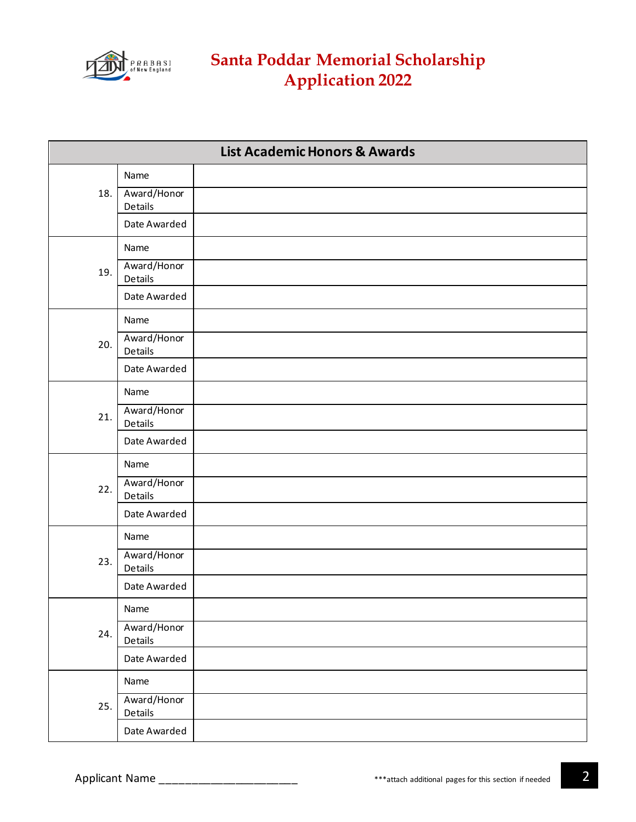

| <b>List Academic Honors &amp; Awards</b> |                        |  |
|------------------------------------------|------------------------|--|
|                                          | Name                   |  |
| 18.                                      | Award/Honor<br>Details |  |
|                                          | Date Awarded           |  |
| 19.                                      | Name                   |  |
|                                          | Award/Honor<br>Details |  |
|                                          | Date Awarded           |  |
|                                          | Name                   |  |
| 20.                                      | Award/Honor<br>Details |  |
|                                          | Date Awarded           |  |
|                                          | Name                   |  |
| 21.                                      | Award/Honor<br>Details |  |
|                                          | Date Awarded           |  |
|                                          | Name                   |  |
| 22.                                      | Award/Honor<br>Details |  |
|                                          | Date Awarded           |  |
|                                          | Name                   |  |
| 23.                                      | Award/Honor<br>Details |  |
|                                          | Date Awarded           |  |
| 24.                                      | Name                   |  |
|                                          | Award/Honor<br>Details |  |
|                                          | Date Awarded           |  |
| 25.                                      | Name                   |  |
|                                          | Award/Honor<br>Details |  |
|                                          | Date Awarded           |  |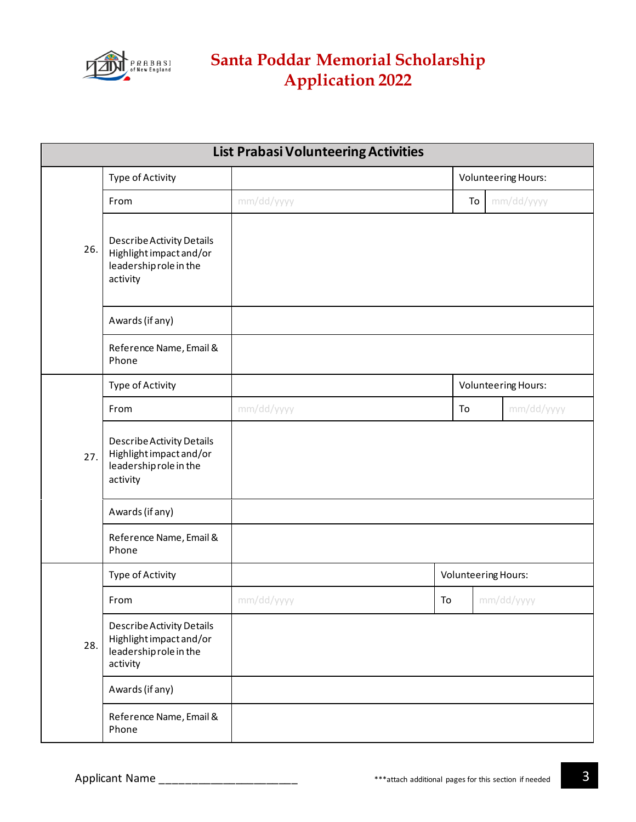

| <b>List Prabasi Volunteering Activities</b> |                                                                                                   |            |    |                            |
|---------------------------------------------|---------------------------------------------------------------------------------------------------|------------|----|----------------------------|
|                                             | Type of Activity                                                                                  |            |    | <b>Volunteering Hours:</b> |
|                                             | From                                                                                              | mm/dd/yyyy | To | mm/dd/yyyy                 |
| 26.                                         | Describe Activity Details<br>Highlight impact and/or<br>leadership role in the<br>activity        |            |    |                            |
|                                             | Awards (if any)                                                                                   |            |    |                            |
|                                             | Reference Name, Email &<br>Phone                                                                  |            |    |                            |
| 27.                                         | Type of Activity                                                                                  |            |    | <b>Volunteering Hours:</b> |
|                                             | From                                                                                              | mm/dd/yyyy | To | mm/dd/yyyy                 |
|                                             | <b>Describe Activity Details</b><br>Highlight impact and/or<br>leadership role in the<br>activity |            |    |                            |
|                                             | Awards (if any)                                                                                   |            |    |                            |
|                                             | Reference Name, Email &<br>Phone                                                                  |            |    |                            |
| 28.                                         | Type of Activity                                                                                  |            |    | <b>Volunteering Hours:</b> |
|                                             | From                                                                                              | mm/dd/yyyy | To | mm/dd/yyyy                 |
|                                             | <b>Describe Activity Details</b><br>Highlight impact and/or<br>leadership role in the<br>activity |            |    |                            |
|                                             | Awards (if any)                                                                                   |            |    |                            |
|                                             | Reference Name, Email &<br>Phone                                                                  |            |    |                            |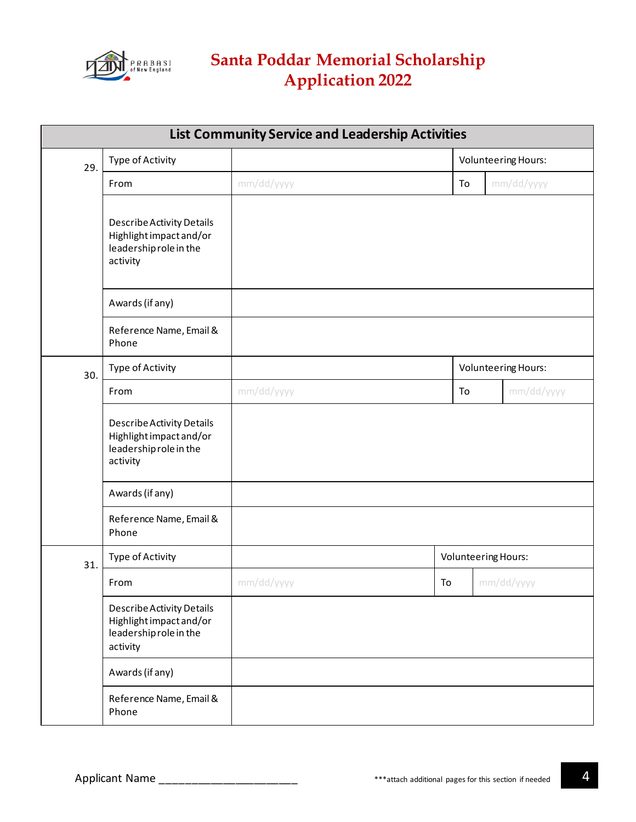

## **Santa Poddar Memorial Scholarship Application 2022**

| <b>List Community Service and Leadership Activities</b> |                                                                                                   |            |    |                            |  |
|---------------------------------------------------------|---------------------------------------------------------------------------------------------------|------------|----|----------------------------|--|
| 29.                                                     | Type of Activity                                                                                  |            |    | <b>Volunteering Hours:</b> |  |
|                                                         | From                                                                                              | mm/dd/yyyy | To | mm/dd/yyyy                 |  |
|                                                         | <b>Describe Activity Details</b><br>Highlight impact and/or<br>leadership role in the<br>activity |            |    |                            |  |
|                                                         | Awards (if any)                                                                                   |            |    |                            |  |
|                                                         | Reference Name, Email &<br>Phone                                                                  |            |    |                            |  |
| 30.                                                     | Type of Activity                                                                                  |            |    | <b>Volunteering Hours:</b> |  |
|                                                         | From                                                                                              | mm/dd/yyyy | To | mm/dd/yyyy                 |  |
|                                                         | <b>Describe Activity Details</b><br>Highlight impact and/or<br>leadership role in the<br>activity |            |    |                            |  |
|                                                         | Awards (if any)                                                                                   |            |    |                            |  |
|                                                         | Reference Name, Email &<br>Phone                                                                  |            |    |                            |  |
| 31.                                                     | Type of Activity                                                                                  |            |    | <b>Volunteering Hours:</b> |  |
|                                                         | From                                                                                              | mm/dd/yyyy | To | mm/dd/yyyy                 |  |
|                                                         | <b>Describe Activity Details</b><br>Highlight impact and/or<br>leadership role in the<br>activity |            |    |                            |  |
|                                                         | Awards (if any)                                                                                   |            |    |                            |  |
|                                                         | Reference Name, Email &<br>Phone                                                                  |            |    |                            |  |